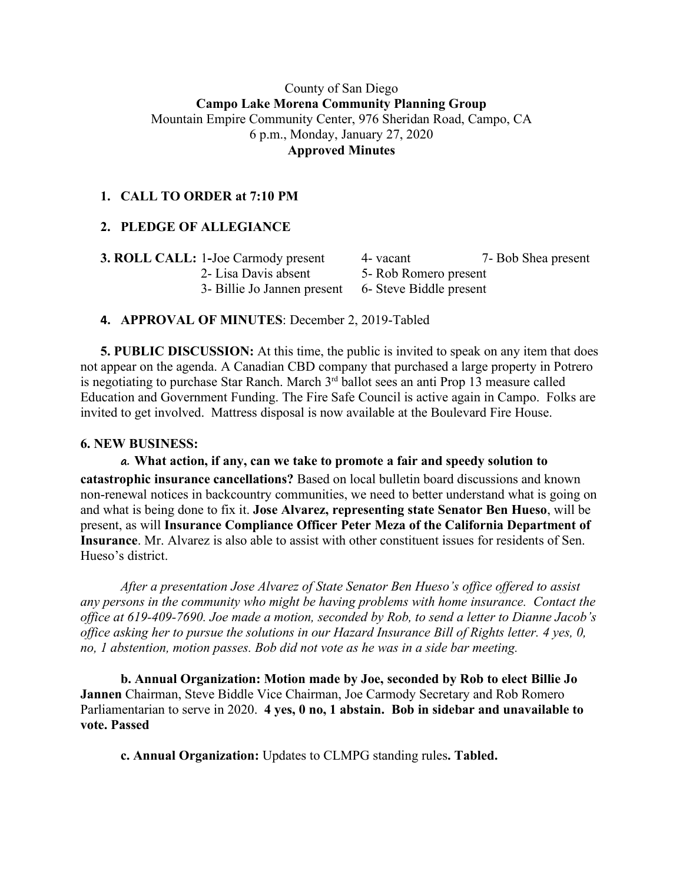#### County of San Diego **Campo Lake Morena Community Planning Group** Mountain Empire Community Center, 976 Sheridan Road, Campo, CA 6 p.m., Monday, January 27, 2020 **Approved Minutes**

# **1. CALL TO ORDER at 7:10 PM**

# **2. PLEDGE OF ALLEGIANCE**

| <b>3. ROLL CALL: 1-Joe Carmody present</b>          | 4 - vacant             | 7- Bob Shea present |
|-----------------------------------------------------|------------------------|---------------------|
| 2- Lisa Davis absent                                | 5 - Rob Romero present |                     |
| 3- Billie Jo Jannen present 6- Steve Biddle present |                        |                     |

#### **4. APPROVAL OF MINUTES**: December 2, 2019-Tabled

**5. PUBLIC DISCUSSION:** At this time, the public is invited to speak on any item that does not appear on the agenda. A Canadian CBD company that purchased a large property in Potrero is negotiating to purchase Star Ranch. March 3rd ballot sees an anti Prop 13 measure called Education and Government Funding. The Fire Safe Council is active again in Campo. Folks are invited to get involved. Mattress disposal is now available at the Boulevard Fire House.

#### **6. NEW BUSINESS:**

**a. What action, if any, can we take to promote a fair and speedy solution to catastrophic insurance cancellations?** Based on local bulletin board discussions and known non-renewal notices in backcountry communities, we need to better understand what is going on and what is being done to fix it. **Jose Alvarez, representing state Senator Ben Hueso**, will be present, as will **Insurance Compliance Officer Peter Meza of the California Department of Insurance**. Mr. Alvarez is also able to assist with other constituent issues for residents of Sen. Hueso's district.

*After a presentation Jose Alvarez of State Senator Ben Hueso's office offered to assist any persons in the community who might be having problems with home insurance. Contact the office at 619-409-7690. Joe made a motion, seconded by Rob, to send a letter to Dianne Jacob's office asking her to pursue the solutions in our Hazard Insurance Bill of Rights letter. 4 yes, 0, no, 1 abstention, motion passes. Bob did not vote as he was in a side bar meeting.*

**b. Annual Organization: Motion made by Joe, seconded by Rob to elect Billie Jo Jannen** Chairman, Steve Biddle Vice Chairman, Joe Carmody Secretary and Rob Romero Parliamentarian to serve in 2020. **4 yes, 0 no, 1 abstain. Bob in sidebar and unavailable to vote. Passed**

**c. Annual Organization:** Updates to CLMPG standing rules**. Tabled.**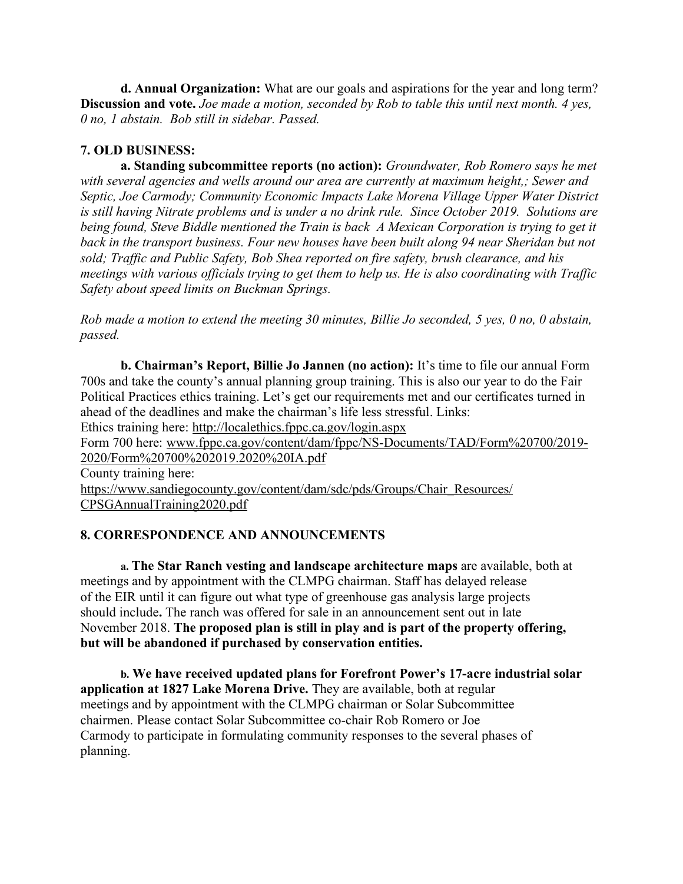**d. Annual Organization:** What are our goals and aspirations for the year and long term? **Discussion and vote.** *Joe made a motion, seconded by Rob to table this until next month. 4 yes, 0 no, 1 abstain. Bob still in sidebar. Passed.*

# **7. OLD BUSINESS:**

**a. Standing subcommittee reports (no action):** *Groundwater, Rob Romero says he met with several agencies and wells around our area are currently at maximum height,; Sewer and Septic, Joe Carmody; Community Economic Impacts Lake Morena Village Upper Water District is still having Nitrate problems and is under a no drink rule. Since October 2019. Solutions are being found, Steve Biddle mentioned the Train is back A Mexican Corporation is trying to get it back in the transport business. Four new houses have been built along 94 near Sheridan but not sold; Traffic and Public Safety, Bob Shea reported on fire safety, brush clearance, and his meetings with various officials trying to get them to help us. He is also coordinating with Traffic Safety about speed limits on Buckman Springs.*

Rob made a motion to extend the meeting 30 minutes, Billie Jo seconded, 5 yes, 0 no, 0 abstain, *passed.*

**b. Chairman's Report, Billie Jo Jannen (no action):** It's time to file our annual Form 700s and take the county's annual planning group training. This is also our year to do the Fair Political Practices ethics training. Let's get our requirements met and our certificates turned in ahead of the deadlines and make the chairman's life less stressful. Links:

Ethics training here: http://localethics.fppc.ca.gov/login.aspx

Form 700 here: www.fppc.ca.gov/content/dam/fppc/NS-Documents/TAD/Form%20700/2019- 2020/Form%20700%202019.2020%20IA.pdf

County training here:

https://www.sandiegocounty.gov/content/dam/sdc/pds/Groups/Chair\_Resources/ CPSGAnnualTraining2020.pdf

### **8. CORRESPONDENCE AND ANNOUNCEMENTS**

**a. The Star Ranch vesting and landscape architecture maps** are available, both at meetings and by appointment with the CLMPG chairman. Staff has delayed release of the EIR until it can figure out what type of greenhouse gas analysis large projects should include**.** The ranch was offered for sale in an announcement sent out in late November 2018. **The proposed plan is still in play and is part of the property offering, but will be abandoned if purchased by conservation entities.**

**b. We have received updated plans for Forefront Power's 17-acre industrial solar application at 1827 Lake Morena Drive.** They are available, both at regular meetings and by appointment with the CLMPG chairman or Solar Subcommittee chairmen. Please contact Solar Subcommittee co-chair Rob Romero or Joe Carmody to participate in formulating community responses to the several phases of planning.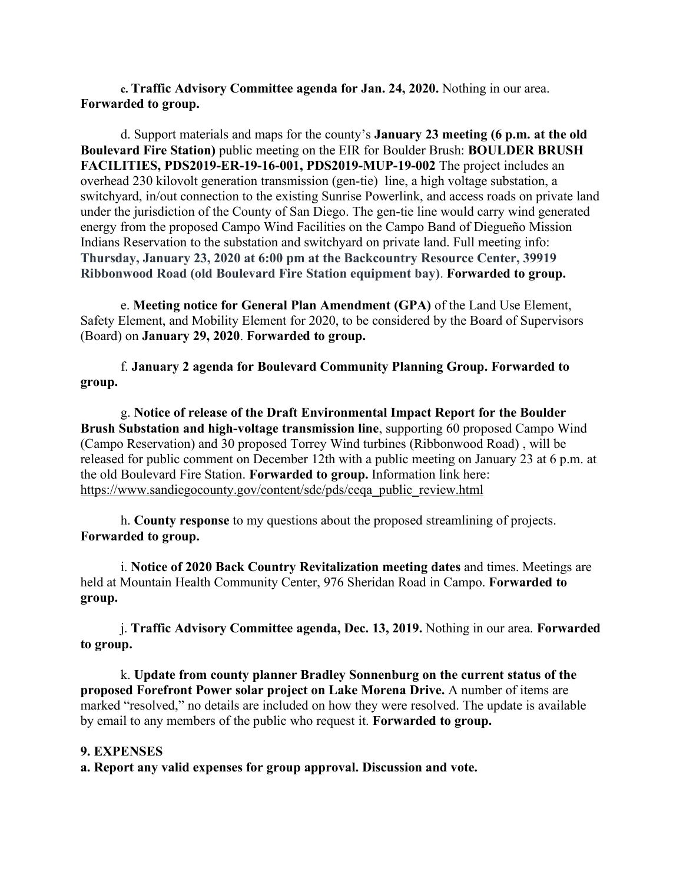**c. Traffic Advisory Committee agenda for Jan. 24, 2020.** Nothing in our area. **Forwarded to group.**

d. Support materials and maps for the county's **January 23 meeting (6 p.m. at the old Boulevard Fire Station)** public meeting on the EIR for Boulder Brush: **BOULDER BRUSH FACILITIES, PDS2019-ER-19-16-001, PDS2019-MUP-19-002** The project includes an overhead 230 kilovolt generation transmission (gen-tie) line, a high voltage substation, a switchyard, in/out connection to the existing Sunrise Powerlink, and access roads on private land under the jurisdiction of the County of San Diego. The gen-tie line would carry wind generated energy from the proposed Campo Wind Facilities on the Campo Band of Diegueño Mission Indians Reservation to the substation and switchyard on private land. Full meeting info: **Thursday, January 23, 2020 at 6:00 pm at the Backcountry Resource Center, 39919 Ribbonwood Road (old Boulevard Fire Station equipment bay)**. **Forwarded to group.**

e. **Meeting notice for General Plan Amendment (GPA)** of the Land Use Element, Safety Element, and Mobility Element for 2020, to be considered by the Board of Supervisors (Board) on **January 29, 2020**. **Forwarded to group.**

f. **January 2 agenda for Boulevard Community Planning Group. Forwarded to group.**

g. **Notice of release of the Draft Environmental Impact Report for the Boulder Brush Substation and high-voltage transmission line**, supporting 60 proposed Campo Wind (Campo Reservation) and 30 proposed Torrey Wind turbines (Ribbonwood Road) , will be released for public comment on December 12th with a public meeting on January 23 at 6 p.m. at the old Boulevard Fire Station. **Forwarded to group.** Information link here: https://www.sandiegocounty.gov/content/sdc/pds/ceqa\_public\_review.html

h. **County response** to my questions about the proposed streamlining of projects. **Forwarded to group.**

i. **Notice of 2020 Back Country Revitalization meeting dates** and times. Meetings are held at Mountain Health Community Center, 976 Sheridan Road in Campo. **Forwarded to group.**

j. **Traffic Advisory Committee agenda, Dec. 13, 2019.** Nothing in our area. **Forwarded to group.**

k. **Update from county planner Bradley Sonnenburg on the current status of the proposed Forefront Power solar project on Lake Morena Drive.** A number of items are marked "resolved," no details are included on how they were resolved. The update is available by email to any members of the public who request it. **Forwarded to group.**

#### **9. EXPENSES**

**a. Report any valid expenses for group approval. Discussion and vote.**